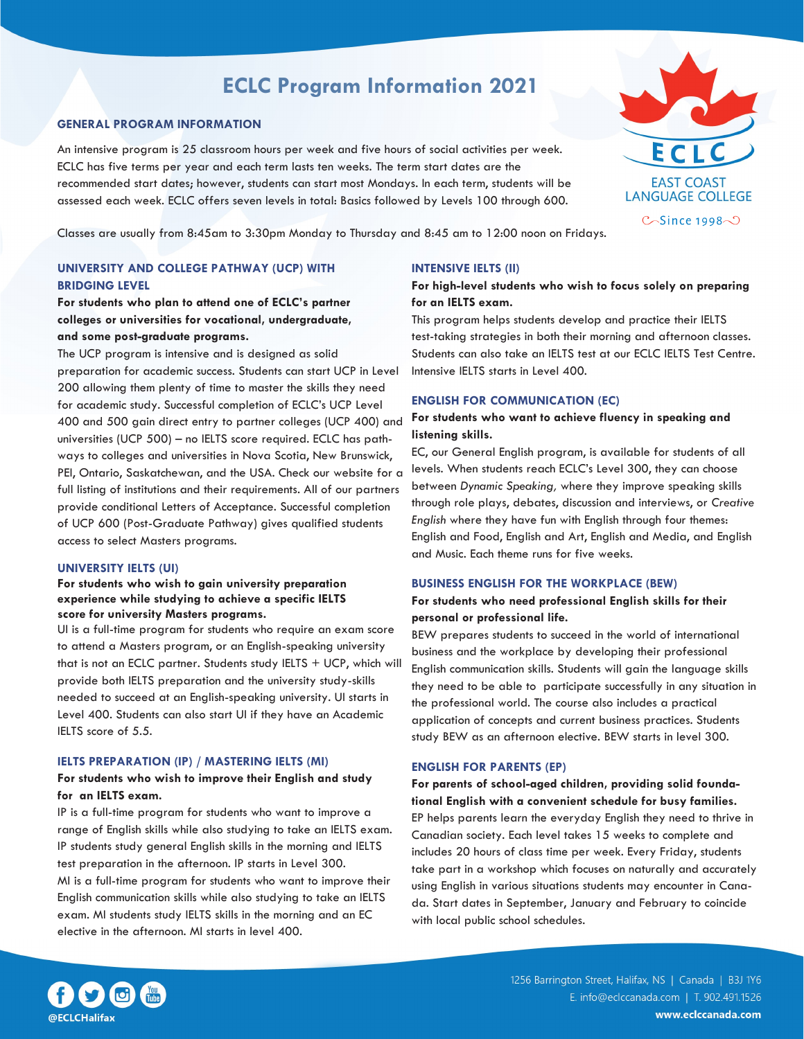# **ECLC Program Information 2021**

### **GENERAL PROGRAM INFORMATION**

An intensive program is 25 classroom hours per week and five hours of social activities per week. ECLC has five terms per year and each term lasts ten weeks. The term start dates are the recommended start dates; however, students can start most Mondays. In each term, students will be assessed each week. ECLC offers seven levels in total: Basics followed by Levels 100 through 600.



Classes are usually from 8:45am to 3:30pm Monday to Thursday and 8:45 am to 12:00 noon on Fridays.

# **UNIVERSITY AND COLLEGE PATHWAY (UCP) WITH BRIDGING LEVEL**

**For students who plan to attend one of ECLC's partner colleges or universities for vocational, undergraduate, and some post-graduate programs.**

The UCP program is intensive and is designed as solid preparation for academic success. Students can start UCP in Level 200 allowing them plenty of time to master the skills they need for academic study. Successful completion of ECLC's UCP Level 400 and 500 gain direct entry to partner colleges (UCP 400) and universities (UCP 500) – no IELTS score required. ECLC has pathways to colleges and universities in Nova Scotia, New Brunswick, PEI, Ontario, Saskatchewan, and the USA. Check our website for a full listing of institutions and their requirements. All of our partners provide conditional Letters of Acceptance. Successful completion of UCP 600 (Post-Graduate Pathway) gives qualified students access to select Masters programs.

#### **UNIVERSITY IELTS (UI)**

#### **For students who wish to gain university preparation experience while studying to achieve a specific IELTS score for university Masters programs.**

UI is a full-time program for students who require an exam score to attend a Masters program, or an English-speaking university that is not an ECLC partner. Students study IELTS + UCP, which will provide both IELTS preparation and the university study-skills needed to succeed at an English-speaking university. UI starts in Level 400. Students can also start UI if they have an Academic IELTS score of 5.5.

#### **IELTS PREPARATION (IP) / MASTERING IELTS (MI)**

#### **For students who wish to improve their English and study for an IELTS exam.**

IP is a full-time program for students who want to improve a range of English skills while also studying to take an IELTS exam. IP students study general English skills in the morning and IELTS test preparation in the afternoon. IP starts in Level 300. MI is a full-time program for students who want to improve their English communication skills while also studying to take an IELTS exam. MI students study IELTS skills in the morning and an EC elective in the afternoon. MI starts in level 400.

#### **INTENSIVE IELTS (II)**

# **For high-level students who wish to focus solely on preparing for an IELTS exam.**

This program helps students develop and practice their IELTS test-taking strategies in both their morning and afternoon classes. Students can also take an IELTS test at our ECLC IELTS Test Centre. Intensive IELTS starts in Level 400.

#### **ENGLISH FOR COMMUNICATION (EC)**

### **For students who want to achieve fluency in speaking and listening skills.**

EC, our General English program, is available for students of all levels. When students reach ECLC's Level 300, they can choose between *Dynamic Speaking,* where they improve speaking skills through role plays, debates, discussion and interviews, or *Creative English* where they have fun with English through four themes: English and Food, English and Art, English and Media, and English and Music. Each theme runs for five weeks.

#### **BUSINESS ENGLISH FOR THE WORKPLACE (BEW)**

### **For students who need professional English skills for their personal or professional life.**

BEW prepares students to succeed in the world of international business and the workplace by developing their professional English communication skills. Students will gain the language skills they need to be able to participate successfully in any situation in the professional world. The course also includes a practical application of concepts and current business practices. Students study BEW as an afternoon elective. BEW starts in level 300.

#### **ENGLISH FOR PARENTS (EP)**

**For parents of school-aged children, providing solid foundational English with a convenient schedule for busy families.** EP helps parents learn the everyday English they need to thrive in Canadian society. Each level takes 15 weeks to complete and includes 20 hours of class time per week. Every Friday, students take part in a workshop which focuses on naturally and accurately using English in various situations students may encounter in Canada. Start dates in September, January and February to coincide with local public school schedules.